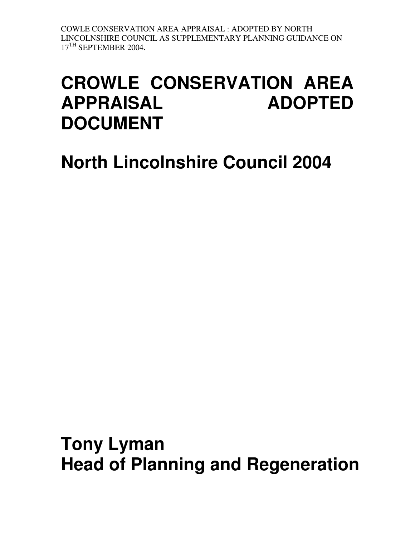# **CROWLE CONSERVATION AREA APPRAISAL ADOPTED DOCUMENT**

# **North Lincolnshire Council 2004**

**Tony Lyman Head of Planning and Regeneration**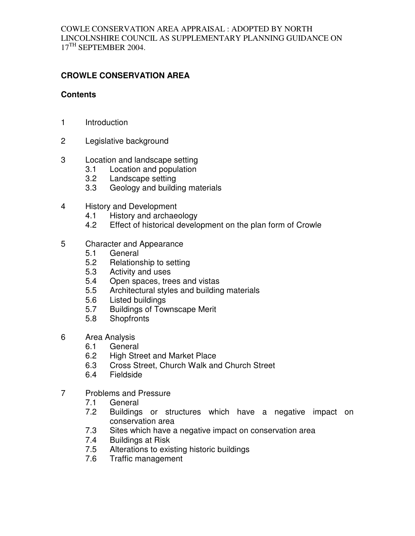# **CROWLE CONSERVATION AREA**

#### **Contents**

- 1 Introduction
- 2 Legislative background
- 3 Location and landscape setting
	- 3.1 Location and population
	- 3.2 Landscape setting
	- 3.3 Geology and building materials
- 4 History and Development
	- 4.1 History and archaeology
	- 4.2 Effect of historical development on the plan form of Crowle
- 5 Character and Appearance
	- 5.1 General
	- 5.2 Relationship to setting
	- 5.3 Activity and uses
	- 5.4 Open spaces, trees and vistas
	- 5.5 Architectural styles and building materials<br>5.6 Listed buildings
	- Listed buildings
	- 5.7 Buildings of Townscape Merit
	- 5.8 Shopfronts
- 6 Area Analysis
	- 6.1 General
	- 6.2 High Street and Market Place
	- 6.3 Cross Street, Church Walk and Church Street
	- 6.4 Fieldside
- 7 Problems and Pressure
	- 7.1 General
	- 7.2 Buildings or structures which have a negative impact on conservation area
	- 7.3 Sites which have a negative impact on conservation area
	- 7.4 Buildings at Risk
	- 7.5 Alterations to existing historic buildings
	- 7.6 Traffic management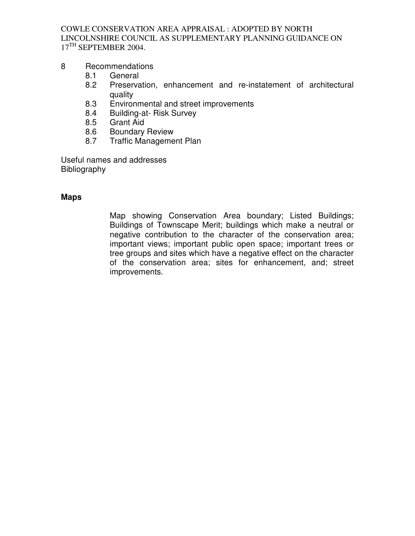#### 8 Recommendations

- 8.1 General
- 8.2 Preservation, enhancement and re-instatement of architectural quality
- 8.3 Environmental and street improvements
- 8.4 Building-at- Risk Survey
- 8.5 Grant Aid
- 8.6 Boundary Review
- 8.7 Traffic Management Plan

Useful names and addresses Bibliography

#### **Maps**

Map showing Conservation Area boundary; Listed Buildings; Buildings of Townscape Merit; buildings which make a neutral or negative contribution to the character of the conservation area; important views; important public open space; important trees or tree groups and sites which have a negative effect on the character of the conservation area; sites for enhancement, and; street improvements.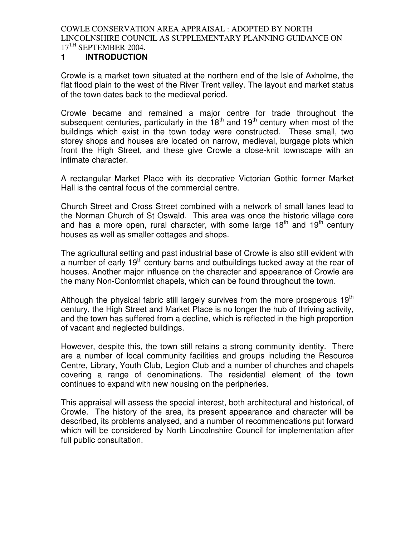## **1 INTRODUCTION**

Crowle is a market town situated at the northern end of the Isle of Axholme, the flat flood plain to the west of the River Trent valley. The layout and market status of the town dates back to the medieval period.

Crowle became and remained a major centre for trade throughout the subsequent centuries, particularly in the  $18<sup>th</sup>$  and  $19<sup>th</sup>$  century when most of the buildings which exist in the town today were constructed. These small, two storey shops and houses are located on narrow, medieval, burgage plots which front the High Street, and these give Crowle a close-knit townscape with an intimate character.

A rectangular Market Place with its decorative Victorian Gothic former Market Hall is the central focus of the commercial centre.

Church Street and Cross Street combined with a network of small lanes lead to the Norman Church of St Oswald. This area was once the historic village core and has a more open, rural character, with some large  $18<sup>th</sup>$  and  $19<sup>th</sup>$  century houses as well as smaller cottages and shops.

The agricultural setting and past industrial base of Crowle is also still evident with a number of early 19<sup>th</sup> century barns and outbuildings tucked away at the rear of houses. Another major influence on the character and appearance of Crowle are the many Non-Conformist chapels, which can be found throughout the town.

Although the physical fabric still largely survives from the more prosperous  $19<sup>th</sup>$ century, the High Street and Market Place is no longer the hub of thriving activity, and the town has suffered from a decline, which is reflected in the high proportion of vacant and neglected buildings.

However, despite this, the town still retains a strong community identity. There are a number of local community facilities and groups including the Resource Centre, Library, Youth Club, Legion Club and a number of churches and chapels covering a range of denominations. The residential element of the town continues to expand with new housing on the peripheries.

This appraisal will assess the special interest, both architectural and historical, of Crowle. The history of the area, its present appearance and character will be described, its problems analysed, and a number of recommendations put forward which will be considered by North Lincolnshire Council for implementation after full public consultation.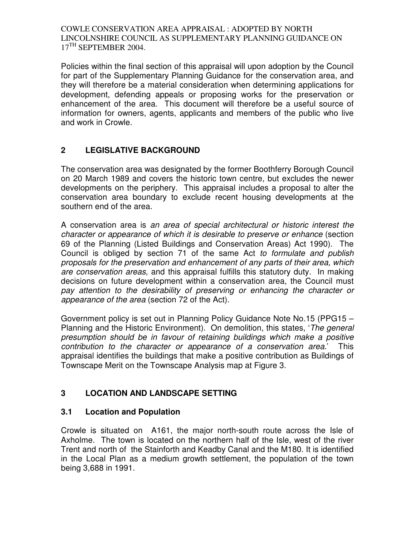Policies within the final section of this appraisal will upon adoption by the Council for part of the Supplementary Planning Guidance for the conservation area, and they will therefore be a material consideration when determining applications for development, defending appeals or proposing works for the preservation or enhancement of the area. This document will therefore be a useful source of information for owners, agents, applicants and members of the public who live and work in Crowle.

# **2 LEGISLATIVE BACKGROUND**

The conservation area was designated by the former Boothferry Borough Council on 20 March 1989 and covers the historic town centre, but excludes the newer developments on the periphery. This appraisal includes a proposal to alter the conservation area boundary to exclude recent housing developments at the southern end of the area.

A conservation area is an area of special architectural or historic interest the character or appearance of which it is desirable to preserve or enhance (section 69 of the Planning (Listed Buildings and Conservation Areas) Act 1990). The Council is obliged by section 71 of the same Act to formulate and publish proposals for the preservation and enhancement of any parts of their area, which are conservation areas, and this appraisal fulfills this statutory duty. In making decisions on future development within a conservation area, the Council must pay attention to the desirability of preserving or enhancing the character or appearance of the area (section 72 of the Act).

Government policy is set out in Planning Policy Guidance Note No.15 (PPG15 – Planning and the Historic Environment). On demolition, this states, '*The general* presumption should be in favour of retaining buildings which make a positive contribution to the character or appearance of a conservation area.' This appraisal identifies the buildings that make a positive contribution as Buildings of Townscape Merit on the Townscape Analysis map at Figure 3.

# **3 LOCATION AND LANDSCAPE SETTING**

# **3.1 Location and Population**

Crowle is situated on A161, the major north-south route across the Isle of Axholme. The town is located on the northern half of the Isle, west of the river Trent and north of the Stainforth and Keadby Canal and the M180. It is identified in the Local Plan as a medium growth settlement, the population of the town being 3,688 in 1991.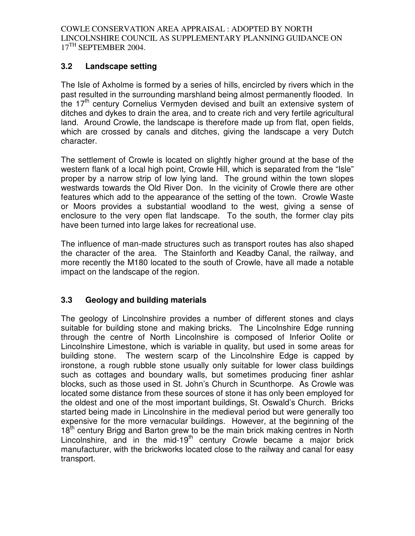# **3.2 Landscape setting**

The Isle of Axholme is formed by a series of hills, encircled by rivers which in the past resulted in the surrounding marshland being almost permanently flooded. In the 17<sup>th</sup> century Cornelius Vermyden devised and built an extensive system of ditches and dykes to drain the area, and to create rich and very fertile agricultural land. Around Crowle, the landscape is therefore made up from flat, open fields, which are crossed by canals and ditches, giving the landscape a very Dutch character.

The settlement of Crowle is located on slightly higher ground at the base of the western flank of a local high point, Crowle Hill, which is separated from the "Isle" proper by a narrow strip of low lying land. The ground within the town slopes westwards towards the Old River Don. In the vicinity of Crowle there are other features which add to the appearance of the setting of the town. Crowle Waste or Moors provides a substantial woodland to the west, giving a sense of enclosure to the very open flat landscape. To the south, the former clay pits have been turned into large lakes for recreational use.

The influence of man-made structures such as transport routes has also shaped the character of the area. The Stainforth and Keadby Canal, the railway, and more recently the M180 located to the south of Crowle, have all made a notable impact on the landscape of the region.

# **3.3 Geology and building materials**

The geology of Lincolnshire provides a number of different stones and clays suitable for building stone and making bricks. The Lincolnshire Edge running through the centre of North Lincolnshire is composed of Inferior Oolite or Lincolnshire Limestone, which is variable in quality, but used in some areas for building stone. The western scarp of the Lincolnshire Edge is capped by ironstone, a rough rubble stone usually only suitable for lower class buildings such as cottages and boundary walls, but sometimes producing finer ashlar blocks, such as those used in St. John's Church in Scunthorpe. As Crowle was located some distance from these sources of stone it has only been employed for the oldest and one of the most important buildings, St. Oswald's Church. Bricks started being made in Lincolnshire in the medieval period but were generally too expensive for the more vernacular buildings. However, at the beginning of the 18<sup>th</sup> century Brigg and Barton grew to be the main brick making centres in North Lincolnshire, and in the mid-19<sup>th</sup> century Crowle became a major brick manufacturer, with the brickworks located close to the railway and canal for easy transport.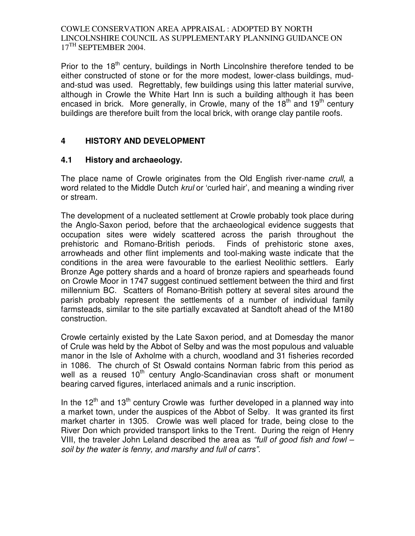Prior to the  $18<sup>th</sup>$  century, buildings in North Lincolnshire therefore tended to be either constructed of stone or for the more modest, lower-class buildings, mudand-stud was used. Regrettably, few buildings using this latter material survive, although in Crowle the White Hart Inn is such a building although it has been encased in brick. More generally, in Crowle, many of the  $18<sup>th</sup>$  and  $19<sup>th</sup>$  century buildings are therefore built from the local brick, with orange clay pantile roofs.

# **4 HISTORY AND DEVELOPMENT**

# **4.1 History and archaeology.**

The place name of Crowle originates from the Old English river-name crull, a word related to the Middle Dutch *krul* or 'curled hair', and meaning a winding river or stream.

The development of a nucleated settlement at Crowle probably took place during the Anglo-Saxon period, before that the archaeological evidence suggests that occupation sites were widely scattered across the parish throughout the prehistoric and Romano-British periods. Finds of prehistoric stone axes, arrowheads and other flint implements and tool-making waste indicate that the conditions in the area were favourable to the earliest Neolithic settlers. Early Bronze Age pottery shards and a hoard of bronze rapiers and spearheads found on Crowle Moor in 1747 suggest continued settlement between the third and first millennium BC. Scatters of Romano-British pottery at several sites around the parish probably represent the settlements of a number of individual family farmsteads, similar to the site partially excavated at Sandtoft ahead of the M180 construction.

Crowle certainly existed by the Late Saxon period, and at Domesday the manor of Crule was held by the Abbot of Selby and was the most populous and valuable manor in the Isle of Axholme with a church, woodland and 31 fisheries recorded in 1086. The church of St Oswald contains Norman fabric from this period as well as a reused 10<sup>th</sup> century Anglo-Scandinavian cross shaft or monument bearing carved figures, interlaced animals and a runic inscription.

In the  $12<sup>th</sup>$  and  $13<sup>th</sup>$  century Crowle was further developed in a planned way into a market town, under the auspices of the Abbot of Selby. It was granted its first market charter in 1305. Crowle was well placed for trade, being close to the River Don which provided transport links to the Trent. During the reign of Henry VIII, the traveler John Leland described the area as "full of good fish and fowl – soil by the water is fenny, and marshy and full of carrs".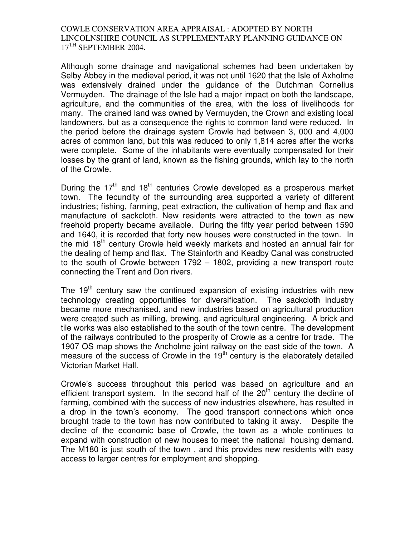Although some drainage and navigational schemes had been undertaken by Selby Abbey in the medieval period, it was not until 1620 that the Isle of Axholme was extensively drained under the guidance of the Dutchman Cornelius Vermuyden. The drainage of the Isle had a major impact on both the landscape, agriculture, and the communities of the area, with the loss of livelihoods for many. The drained land was owned by Vermuyden, the Crown and existing local landowners, but as a consequence the rights to common land were reduced. In the period before the drainage system Crowle had between 3, 000 and 4,000 acres of common land, but this was reduced to only 1,814 acres after the works were complete. Some of the inhabitants were eventually compensated for their losses by the grant of land, known as the fishing grounds, which lay to the north of the Crowle.

During the  $17<sup>th</sup>$  and  $18<sup>th</sup>$  centuries Crowle developed as a prosperous market town. The fecundity of the surrounding area supported a variety of different industries; fishing, farming, peat extraction, the cultivation of hemp and flax and manufacture of sackcloth. New residents were attracted to the town as new freehold property became available. During the fifty year period between 1590 and 1640, it is recorded that forty new houses were constructed in the town. In the mid 18<sup>th</sup> century Crowle held weekly markets and hosted an annual fair for the dealing of hemp and flax. The Stainforth and Keadby Canal was constructed to the south of Crowle between 1792 – 1802, providing a new transport route connecting the Trent and Don rivers.

The  $19<sup>th</sup>$  century saw the continued expansion of existing industries with new technology creating opportunities for diversification. The sackcloth industry became more mechanised, and new industries based on agricultural production were created such as milling, brewing, and agricultural engineering. A brick and tile works was also established to the south of the town centre. The development of the railways contributed to the prosperity of Crowle as a centre for trade. The 1907 OS map shows the Ancholme joint railway on the east side of the town. A measure of the success of Crowle in the  $19<sup>th</sup>$  century is the elaborately detailed Victorian Market Hall.

Crowle's success throughout this period was based on agriculture and an efficient transport system. In the second half of the  $20<sup>th</sup>$  century the decline of farming, combined with the success of new industries elsewhere, has resulted in a drop in the town's economy. The good transport connections which once brought trade to the town has now contributed to taking it away. Despite the decline of the economic base of Crowle, the town as a whole continues to expand with construction of new houses to meet the national housing demand. The M180 is just south of the town , and this provides new residents with easy access to larger centres for employment and shopping.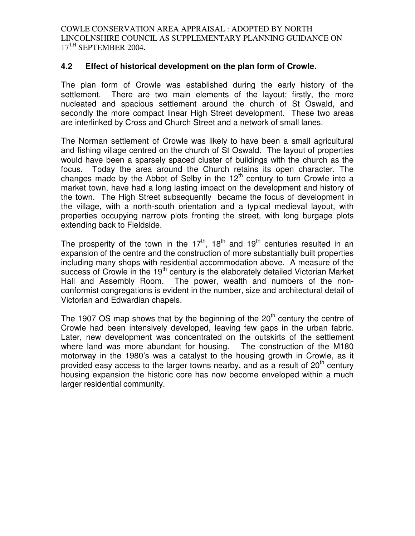#### **4.2 Effect of historical development on the plan form of Crowle.**

The plan form of Crowle was established during the early history of the settlement. There are two main elements of the layout; firstly, the more nucleated and spacious settlement around the church of St Oswald, and secondly the more compact linear High Street development. These two areas are interlinked by Cross and Church Street and a network of small lanes.

The Norman settlement of Crowle was likely to have been a small agricultural and fishing village centred on the church of St Oswald. The layout of properties would have been a sparsely spaced cluster of buildings with the church as the focus. Today the area around the Church retains its open character. The changes made by the Abbot of Selby in the  $12<sup>th</sup>$  century to turn Crowle into a market town, have had a long lasting impact on the development and history of the town. The High Street subsequently became the focus of development in the village, with a north-south orientation and a typical medieval layout, with properties occupying narrow plots fronting the street, with long burgage plots extending back to Fieldside.

The prosperity of the town in the  $17<sup>th</sup>$ ,  $18<sup>th</sup>$  and  $19<sup>th</sup>$  centuries resulted in an expansion of the centre and the construction of more substantially built properties including many shops with residential accommodation above. A measure of the success of Crowle in the 19<sup>th</sup> century is the elaborately detailed Victorian Market Hall and Assembly Room. The power, wealth and numbers of the nonconformist congregations is evident in the number, size and architectural detail of Victorian and Edwardian chapels.

The 1907 OS map shows that by the beginning of the  $20<sup>th</sup>$  century the centre of Crowle had been intensively developed, leaving few gaps in the urban fabric. Later, new development was concentrated on the outskirts of the settlement where land was more abundant for housing. The construction of the M180 motorway in the 1980's was a catalyst to the housing growth in Crowle, as it provided easy access to the larger towns nearby, and as a result of  $20<sup>th</sup>$  century housing expansion the historic core has now become enveloped within a much larger residential community.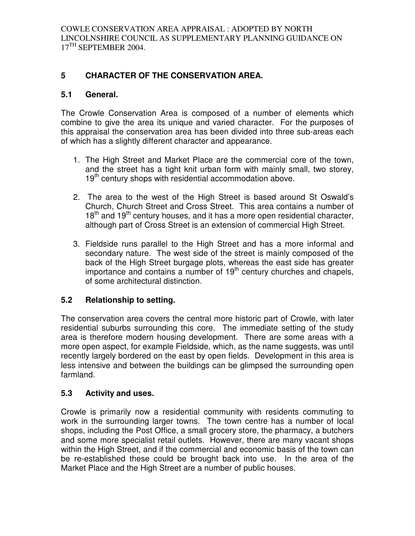# **5 CHARACTER OF THE CONSERVATION AREA.**

#### **5.1 General.**

The Crowle Conservation Area is composed of a number of elements which combine to give the area its unique and varied character. For the purposes of this appraisal the conservation area has been divided into three sub-areas each of which has a slightly different character and appearance.

- 1. The High Street and Market Place are the commercial core of the town, and the street has a tight knit urban form with mainly small, two storey, 19<sup>th</sup> century shops with residential accommodation above.
- 2. The area to the west of the High Street is based around St Oswald's Church, Church Street and Cross Street. This area contains a number of  $18<sup>th</sup>$  and  $19<sup>th</sup>$  century houses, and it has a more open residential character, although part of Cross Street is an extension of commercial High Street.
- 3. Fieldside runs parallel to the High Street and has a more informal and secondary nature. The west side of the street is mainly composed of the back of the High Street burgage plots, whereas the east side has greater importance and contains a number of  $19<sup>th</sup>$  century churches and chapels, of some architectural distinction.

#### **5.2 Relationship to setting.**

The conservation area covers the central more historic part of Crowle, with later residential suburbs surrounding this core. The immediate setting of the study area is therefore modern housing development. There are some areas with a more open aspect, for example Fieldside, which, as the name suggests, was until recently largely bordered on the east by open fields. Development in this area is less intensive and between the buildings can be glimpsed the surrounding open farmland.

#### **5.3 Activity and uses.**

Crowle is primarily now a residential community with residents commuting to work in the surrounding larger towns. The town centre has a number of local shops, including the Post Office, a small grocery store, the pharmacy, a butchers and some more specialist retail outlets. However, there are many vacant shops within the High Street, and if the commercial and economic basis of the town can be re-established these could be brought back into use. In the area of the Market Place and the High Street are a number of public houses.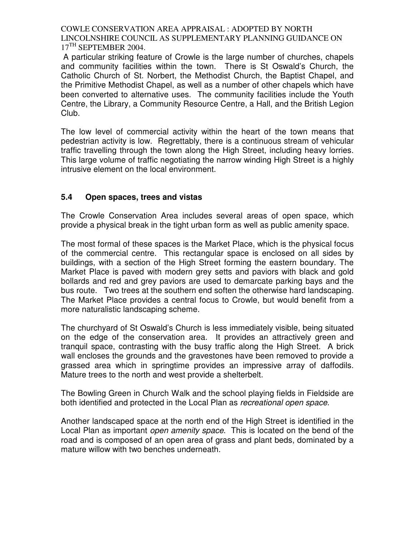A particular striking feature of Crowle is the large number of churches, chapels and community facilities within the town. There is St Oswald's Church, the Catholic Church of St. Norbert, the Methodist Church, the Baptist Chapel, and the Primitive Methodist Chapel, as well as a number of other chapels which have been converted to alternative uses. The community facilities include the Youth Centre, the Library, a Community Resource Centre, a Hall, and the British Legion Club.

The low level of commercial activity within the heart of the town means that pedestrian activity is low. Regrettably, there is a continuous stream of vehicular traffic travelling through the town along the High Street, including heavy lorries. This large volume of traffic negotiating the narrow winding High Street is a highly intrusive element on the local environment.

# **5.4 Open spaces, trees and vistas**

The Crowle Conservation Area includes several areas of open space, which provide a physical break in the tight urban form as well as public amenity space.

The most formal of these spaces is the Market Place, which is the physical focus of the commercial centre. This rectangular space is enclosed on all sides by buildings, with a section of the High Street forming the eastern boundary. The Market Place is paved with modern grey setts and paviors with black and gold bollards and red and grey paviors are used to demarcate parking bays and the bus route. Two trees at the southern end soften the otherwise hard landscaping. The Market Place provides a central focus to Crowle, but would benefit from a more naturalistic landscaping scheme.

The churchyard of St Oswald's Church is less immediately visible, being situated on the edge of the conservation area. It provides an attractively green and tranquil space, contrasting with the busy traffic along the High Street. A brick wall encloses the grounds and the gravestones have been removed to provide a grassed area which in springtime provides an impressive array of daffodils. Mature trees to the north and west provide a shelterbelt.

The Bowling Green in Church Walk and the school playing fields in Fieldside are both identified and protected in the Local Plan as recreational open space.

Another landscaped space at the north end of the High Street is identified in the Local Plan as important open amenity space. This is located on the bend of the road and is composed of an open area of grass and plant beds, dominated by a mature willow with two benches underneath.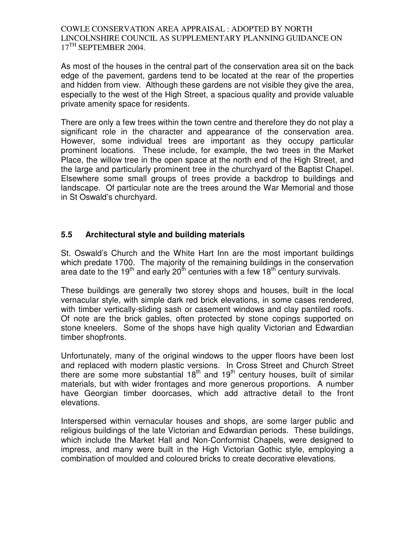As most of the houses in the central part of the conservation area sit on the back edge of the pavement, gardens tend to be located at the rear of the properties and hidden from view. Although these gardens are not visible they give the area, especially to the west of the High Street, a spacious quality and provide valuable private amenity space for residents.

There are only a few trees within the town centre and therefore they do not play a significant role in the character and appearance of the conservation area. However, some individual trees are important as they occupy particular prominent locations. These include, for example, the two trees in the Market Place, the willow tree in the open space at the north end of the High Street, and the large and particularly prominent tree in the churchyard of the Baptist Chapel. Elsewhere some small groups of trees provide a backdrop to buildings and landscape. Of particular note are the trees around the War Memorial and those in St Oswald's churchyard.

# **5.5 Architectural style and building materials**

St. Oswald's Church and the White Hart Inn are the most important buildings which predate 1700. The majority of the remaining buildings in the conservation area date to the 19<sup>th</sup> and early 20<sup>th</sup> centuries with a few 18<sup>th</sup> century survivals.

These buildings are generally two storey shops and houses, built in the local vernacular style, with simple dark red brick elevations, in some cases rendered, with timber vertically-sliding sash or casement windows and clay pantiled roofs. Of note are the brick gables, often protected by stone copings supported on stone kneelers. Some of the shops have high quality Victorian and Edwardian timber shopfronts.

Unfortunately, many of the original windows to the upper floors have been lost and replaced with modern plastic versions. In Cross Street and Church Street there are some more substantial  $18<sup>th</sup>$  and  $19<sup>th</sup>$  century houses, built of similar materials, but with wider frontages and more generous proportions. A number have Georgian timber doorcases, which add attractive detail to the front elevations.

Interspersed within vernacular houses and shops, are some larger public and religious buildings of the late Victorian and Edwardian periods. These buildings, which include the Market Hall and Non-Conformist Chapels, were designed to impress, and many were built in the High Victorian Gothic style, employing a combination of moulded and coloured bricks to create decorative elevations.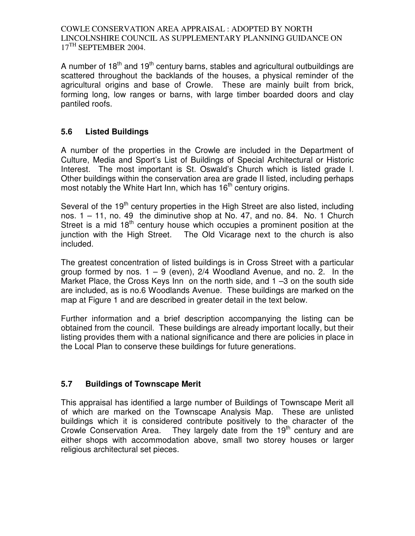A number of  $18<sup>th</sup>$  and  $19<sup>th</sup>$  century barns, stables and agricultural outbuildings are scattered throughout the backlands of the houses, a physical reminder of the agricultural origins and base of Crowle. These are mainly built from brick, forming long, low ranges or barns, with large timber boarded doors and clay pantiled roofs.

# **5.6 Listed Buildings**

A number of the properties in the Crowle are included in the Department of Culture, Media and Sport's List of Buildings of Special Architectural or Historic Interest. The most important is St. Oswald's Church which is listed grade I. Other buildings within the conservation area are grade II listed, including perhaps most notably the White Hart Inn, which has 16<sup>th</sup> century origins.

Several of the 19<sup>th</sup> century properties in the High Street are also listed, including nos. 1 – 11, no. 49 the diminutive shop at No. 47, and no. 84. No. 1 Church Street is a mid  $18<sup>th</sup>$  century house which occupies a prominent position at the junction with the High Street. The Old Vicarage next to the church is also included.

The greatest concentration of listed buildings is in Cross Street with a particular group formed by nos.  $1 - 9$  (even),  $2/4$  Woodland Avenue, and no. 2. In the Market Place, the Cross Keys Inn on the north side, and 1 –3 on the south side are included, as is no.6 Woodlands Avenue. These buildings are marked on the map at Figure 1 and are described in greater detail in the text below.

Further information and a brief description accompanying the listing can be obtained from the council. These buildings are already important locally, but their listing provides them with a national significance and there are policies in place in the Local Plan to conserve these buildings for future generations.

# **5.7 Buildings of Townscape Merit**

This appraisal has identified a large number of Buildings of Townscape Merit all of which are marked on the Townscape Analysis Map. These are unlisted buildings which it is considered contribute positively to the character of the Crowle Conservation Area. They largely date from the 19<sup>th</sup> century and are either shops with accommodation above, small two storey houses or larger religious architectural set pieces.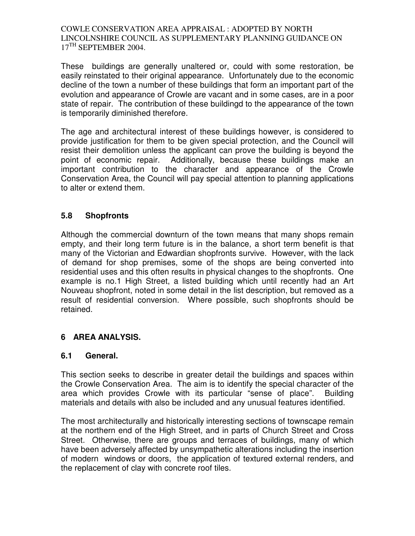These buildings are generally unaltered or, could with some restoration, be easily reinstated to their original appearance. Unfortunately due to the economic decline of the town a number of these buildings that form an important part of the evolution and appearance of Crowle are vacant and in some cases, are in a poor state of repair. The contribution of these buildingd to the appearance of the town is temporarily diminished therefore.

The age and architectural interest of these buildings however, is considered to provide justification for them to be given special protection, and the Council will resist their demolition unless the applicant can prove the building is beyond the point of economic repair. Additionally, because these buildings make an important contribution to the character and appearance of the Crowle Conservation Area, the Council will pay special attention to planning applications to alter or extend them.

# **5.8 Shopfronts**

Although the commercial downturn of the town means that many shops remain empty, and their long term future is in the balance, a short term benefit is that many of the Victorian and Edwardian shopfronts survive. However, with the lack of demand for shop premises, some of the shops are being converted into residential uses and this often results in physical changes to the shopfronts. One example is no.1 High Street, a listed building which until recently had an Art Nouveau shopfront, noted in some detail in the list description, but removed as a result of residential conversion. Where possible, such shopfronts should be retained.

# **6 AREA ANALYSIS.**

# **6.1 General.**

This section seeks to describe in greater detail the buildings and spaces within the Crowle Conservation Area. The aim is to identify the special character of the area which provides Crowle with its particular "sense of place". Building materials and details with also be included and any unusual features identified.

The most architecturally and historically interesting sections of townscape remain at the northern end of the High Street, and in parts of Church Street and Cross Street. Otherwise, there are groups and terraces of buildings, many of which have been adversely affected by unsympathetic alterations including the insertion of modern windows or doors, the application of textured external renders, and the replacement of clay with concrete roof tiles.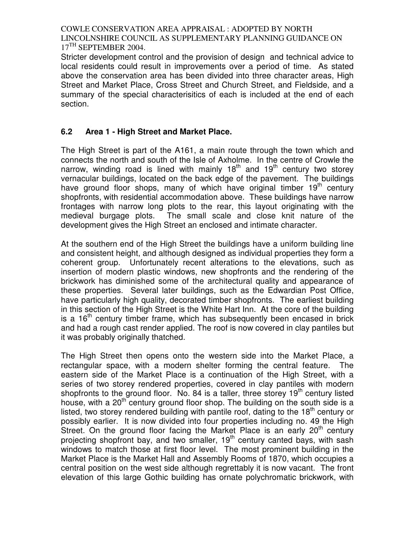Stricter development control and the provision of design and technical advice to local residents could result in improvements over a period of time. As stated above the conservation area has been divided into three character areas, High Street and Market Place, Cross Street and Church Street, and Fieldside, and a summary of the special characterisitics of each is included at the end of each section.

# **6.2 Area 1 - High Street and Market Place.**

The High Street is part of the A161, a main route through the town which and connects the north and south of the Isle of Axholme. In the centre of Crowle the narrow, winding road is lined with mainly  $18<sup>th</sup>$  and  $19<sup>th</sup>$  century two storey vernacular buildings, located on the back edge of the pavement. The buildings have ground floor shops, many of which have original timber 19<sup>th</sup> century shopfronts, with residential accommodation above. These buildings have narrow frontages with narrow long plots to the rear, this layout originating with the medieval burgage plots. The small scale and close knit nature of the development gives the High Street an enclosed and intimate character.

At the southern end of the High Street the buildings have a uniform building line and consistent height, and although designed as individual properties they form a coherent group. Unfortunately recent alterations to the elevations, such as insertion of modern plastic windows, new shopfronts and the rendering of the brickwork has diminished some of the architectural quality and appearance of these properties. Several later buildings, such as the Edwardian Post Office, have particularly high quality, decorated timber shopfronts. The earliest building in this section of the High Street is the White Hart Inn. At the core of the building is a  $16<sup>th</sup>$  century timber frame, which has subsequently been encased in brick and had a rough cast render applied. The roof is now covered in clay pantiles but it was probably originally thatched.

The High Street then opens onto the western side into the Market Place, a rectangular space, with a modern shelter forming the central feature. The eastern side of the Market Place is a continuation of the High Street, with a series of two storey rendered properties, covered in clay pantiles with modern shopfronts to the ground floor. No. 84 is a taller, three storey  $19<sup>th</sup>$  century listed house, with a  $20<sup>th</sup>$  century ground floor shop. The building on the south side is a listed, two storey rendered building with pantile roof, dating to the  $18<sup>th</sup>$  century or possibly earlier. It is now divided into four properties including no. 49 the High Street. On the ground floor facing the Market Place is an early  $20<sup>th</sup>$  century projecting shopfront bay, and two smaller,  $19<sup>th</sup>$  century canted bays, with sash windows to match those at first floor level. The most prominent building in the Market Place is the Market Hall and Assembly Rooms of 1870, which occupies a central position on the west side although regrettably it is now vacant. The front elevation of this large Gothic building has ornate polychromatic brickwork, with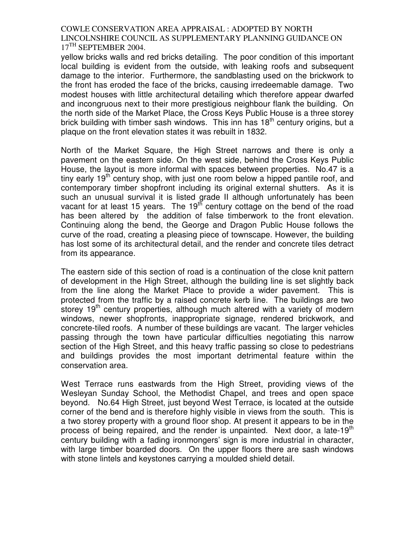yellow bricks walls and red bricks detailing. The poor condition of this important local building is evident from the outside, with leaking roofs and subsequent damage to the interior. Furthermore, the sandblasting used on the brickwork to the front has eroded the face of the bricks, causing irredeemable damage. Two modest houses with little architectural detailing which therefore appear dwarfed and incongruous next to their more prestigious neighbour flank the building. On the north side of the Market Place, the Cross Keys Public House is a three storey brick building with timber sash windows. This inn has  $18<sup>th</sup>$  century origins, but a plaque on the front elevation states it was rebuilt in 1832.

North of the Market Square, the High Street narrows and there is only a pavement on the eastern side. On the west side, behind the Cross Keys Public House, the layout is more informal with spaces between properties. No.47 is a tiny early 19<sup>th</sup> century shop, with just one room below a hipped pantile roof, and contemporary timber shopfront including its original external shutters. As it is such an unusual survival it is listed grade II although unfortunately has been vacant for at least 15 years. The 19<sup>th</sup> century cottage on the bend of the road has been altered by the addition of false timberwork to the front elevation. Continuing along the bend, the George and Dragon Public House follows the curve of the road, creating a pleasing piece of townscape. However, the building has lost some of its architectural detail, and the render and concrete tiles detract from its appearance.

The eastern side of this section of road is a continuation of the close knit pattern of development in the High Street, although the building line is set slightly back from the line along the Market Place to provide a wider pavement. This is protected from the traffic by a raised concrete kerb line. The buildings are two storey 19<sup>th</sup> century properties, although much altered with a variety of modern windows, newer shopfronts, inappropriate signage, rendered brickwork, and concrete-tiled roofs. A number of these buildings are vacant. The larger vehicles passing through the town have particular difficulties negotiating this narrow section of the High Street, and this heavy traffic passing so close to pedestrians and buildings provides the most important detrimental feature within the conservation area.

West Terrace runs eastwards from the High Street, providing views of the Wesleyan Sunday School, the Methodist Chapel, and trees and open space beyond. No.64 High Street, just beyond West Terrace, is located at the outside corner of the bend and is therefore highly visible in views from the south. This is a two storey property with a ground floor shop. At present it appears to be in the process of being repaired, and the render is unpainted. Next door, a late-19 $^{\text{m}}$ century building with a fading ironmongers' sign is more industrial in character, with large timber boarded doors. On the upper floors there are sash windows with stone lintels and keystones carrying a moulded shield detail.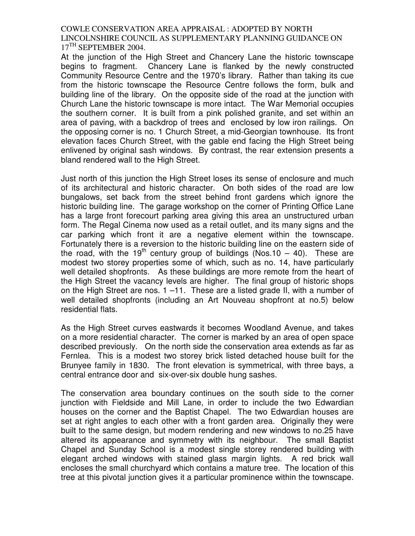At the junction of the High Street and Chancery Lane the historic townscape begins to fragment. Chancery Lane is flanked by the newly constructed Community Resource Centre and the 1970's library. Rather than taking its cue from the historic townscape the Resource Centre follows the form, bulk and building line of the library. On the opposite side of the road at the junction with Church Lane the historic townscape is more intact. The War Memorial occupies the southern corner. It is built from a pink polished granite, and set within an area of paving, with a backdrop of trees and enclosed by low iron railings. On the opposing corner is no. 1 Church Street, a mid-Georgian townhouse. Its front elevation faces Church Street, with the gable end facing the High Street being enlivened by original sash windows. By contrast, the rear extension presents a bland rendered wall to the High Street.

Just north of this junction the High Street loses its sense of enclosure and much of its architectural and historic character. On both sides of the road are low bungalows, set back from the street behind front gardens which ignore the historic building line. The garage workshop on the corner of Printing Office Lane has a large front forecourt parking area giving this area an unstructured urban form. The Regal Cinema now used as a retail outlet, and its many signs and the car parking which front it are a negative element within the townscape. Fortunately there is a reversion to the historic building line on the eastern side of the road, with the 19<sup>th</sup> century group of buildings (Nos.10 – 40). These are modest two storey properties some of which, such as no. 14, have particularly well detailed shopfronts. As these buildings are more remote from the heart of the High Street the vacancy levels are higher. The final group of historic shops on the High Street are nos. 1 –11. These are a listed grade II, with a number of well detailed shopfronts (including an Art Nouveau shopfront at no.5) below residential flats.

As the High Street curves eastwards it becomes Woodland Avenue, and takes on a more residential character. The corner is marked by an area of open space described previously. On the north side the conservation area extends as far as Fernlea. This is a modest two storey brick listed detached house built for the Brunyee family in 1830. The front elevation is symmetrical, with three bays, a central entrance door and six-over-six double hung sashes.

The conservation area boundary continues on the south side to the corner junction with Fieldside and Mill Lane, in order to include the two Edwardian houses on the corner and the Baptist Chapel. The two Edwardian houses are set at right angles to each other with a front garden area. Originally they were built to the same design, but modern rendering and new windows to no.25 have altered its appearance and symmetry with its neighbour. The small Baptist Chapel and Sunday School is a modest single storey rendered building with elegant arched windows with stained glass margin lights. A red brick wall encloses the small churchyard which contains a mature tree. The location of this tree at this pivotal junction gives it a particular prominence within the townscape.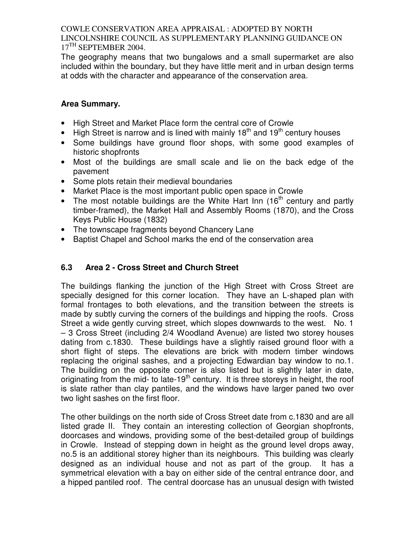The geography means that two bungalows and a small supermarket are also included within the boundary, but they have little merit and in urban design terms at odds with the character and appearance of the conservation area.

### **Area Summary.**

- High Street and Market Place form the central core of Crowle
- High Street is narrow and is lined with mainly  $18<sup>th</sup>$  and  $19<sup>th</sup>$  century houses
- Some buildings have ground floor shops, with some good examples of historic shopfronts
- Most of the buildings are small scale and lie on the back edge of the pavement
- Some plots retain their medieval boundaries
- Market Place is the most important public open space in Crowle
- The most notable buildings are the White Hart Inn  $(16<sup>th</sup>$  century and partly timber-framed), the Market Hall and Assembly Rooms (1870), and the Cross Keys Public House (1832)
- The townscape fragments beyond Chancery Lane
- Baptist Chapel and School marks the end of the conservation area

# **6.3 Area 2 - Cross Street and Church Street**

The buildings flanking the junction of the High Street with Cross Street are specially designed for this corner location. They have an L-shaped plan with formal frontages to both elevations, and the transition between the streets is made by subtly curving the corners of the buildings and hipping the roofs. Cross Street a wide gently curving street, which slopes downwards to the west. No. 1 – 3 Cross Street (including 2/4 Woodland Avenue) are listed two storey houses dating from c.1830. These buildings have a slightly raised ground floor with a short flight of steps. The elevations are brick with modern timber windows replacing the original sashes, and a projecting Edwardian bay window to no.1. The building on the opposite corner is also listed but is slightly later in date, originating from the mid- to late-19<sup>th</sup> century. It is three storeys in height, the roof is slate rather than clay pantiles, and the windows have larger paned two over two light sashes on the first floor.

The other buildings on the north side of Cross Street date from c.1830 and are all listed grade II. They contain an interesting collection of Georgian shopfronts, doorcases and windows, providing some of the best-detailed group of buildings in Crowle. Instead of stepping down in height as the ground level drops away, no.5 is an additional storey higher than its neighbours. This building was clearly designed as an individual house and not as part of the group. It has a symmetrical elevation with a bay on either side of the central entrance door, and a hipped pantiled roof. The central doorcase has an unusual design with twisted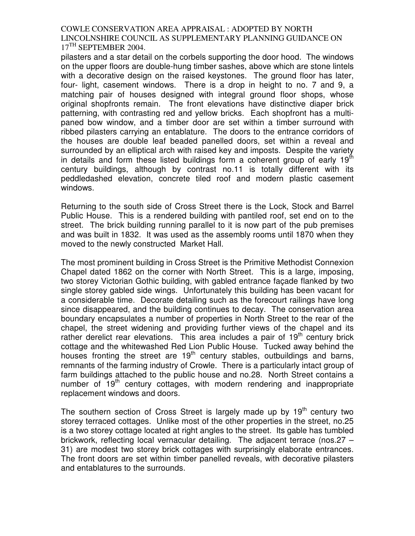pilasters and a star detail on the corbels supporting the door hood. The windows on the upper floors are double-hung timber sashes, above which are stone lintels with a decorative design on the raised keystones. The ground floor has later, four- light, casement windows. There is a drop in height to no. 7 and 9, a matching pair of houses designed with integral ground floor shops, whose original shopfronts remain. The front elevations have distinctive diaper brick patterning, with contrasting red and yellow bricks. Each shopfront has a multipaned bow window, and a timber door are set within a timber surround with ribbed pilasters carrying an entablature. The doors to the entrance corridors of the houses are double leaf beaded panelled doors, set within a reveal and surrounded by an elliptical arch with raised key and imposts. Despite the variety in details and form these listed buildings form a coherent group of early  $19<sup>th</sup>$ century buildings, although by contrast no.11 is totally different with its peddledashed elevation, concrete tiled roof and modern plastic casement windows.

Returning to the south side of Cross Street there is the Lock, Stock and Barrel Public House. This is a rendered building with pantiled roof, set end on to the street. The brick building running parallel to it is now part of the pub premises and was built in 1832. It was used as the assembly rooms until 1870 when they moved to the newly constructed Market Hall.

The most prominent building in Cross Street is the Primitive Methodist Connexion Chapel dated 1862 on the corner with North Street. This is a large, imposing, two storey Victorian Gothic building, with gabled entrance façade flanked by two single storey gabled side wings. Unfortunately this building has been vacant for a considerable time. Decorate detailing such as the forecourt railings have long since disappeared, and the building continues to decay. The conservation area boundary encapsulates a number of properties in North Street to the rear of the chapel, the street widening and providing further views of the chapel and its rather derelict rear elevations. This area includes a pair of  $19<sup>th</sup>$  century brick cottage and the whitewashed Red Lion Public House. Tucked away behind the houses fronting the street are  $19<sup>th</sup>$  century stables, outbuildings and barns, remnants of the farming industry of Crowle. There is a particularly intact group of farm buildings attached to the public house and no.28. North Street contains a number of  $19<sup>th</sup>$  century cottages, with modern rendering and inappropriate replacement windows and doors.

The southern section of Cross Street is largely made up by  $19<sup>th</sup>$  century two storey terraced cottages. Unlike most of the other properties in the street, no.25 is a two storey cottage located at right angles to the street. Its gable has tumbled brickwork, reflecting local vernacular detailing. The adjacent terrace (nos.27 – 31) are modest two storey brick cottages with surprisingly elaborate entrances. The front doors are set within timber panelled reveals, with decorative pilasters and entablatures to the surrounds.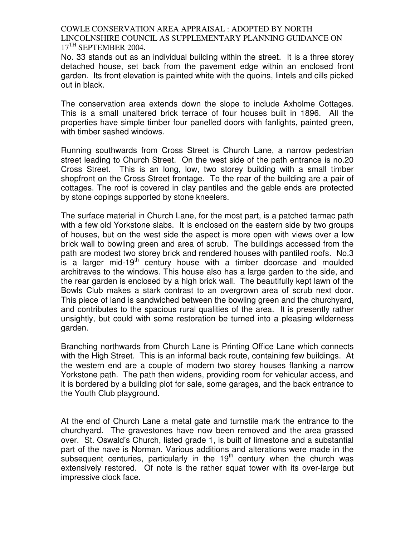No. 33 stands out as an individual building within the street. It is a three storey detached house, set back from the pavement edge within an enclosed front garden. Its front elevation is painted white with the quoins, lintels and cills picked out in black.

The conservation area extends down the slope to include Axholme Cottages. This is a small unaltered brick terrace of four houses built in 1896. All the properties have simple timber four panelled doors with fanlights, painted green, with timber sashed windows.

Running southwards from Cross Street is Church Lane, a narrow pedestrian street leading to Church Street. On the west side of the path entrance is no.20 Cross Street. This is an long, low, two storey building with a small timber shopfront on the Cross Street frontage. To the rear of the building are a pair of cottages. The roof is covered in clay pantiles and the gable ends are protected by stone copings supported by stone kneelers.

The surface material in Church Lane, for the most part, is a patched tarmac path with a few old Yorkstone slabs. It is enclosed on the eastern side by two groups of houses, but on the west side the aspect is more open with views over a low brick wall to bowling green and area of scrub. The buildings accessed from the path are modest two storey brick and rendered houses with pantiled roofs. No.3 is a larger mid-19<sup>th</sup> century house with a timber doorcase and moulded architraves to the windows. This house also has a large garden to the side, and the rear garden is enclosed by a high brick wall. The beautifully kept lawn of the Bowls Club makes a stark contrast to an overgrown area of scrub next door. This piece of land is sandwiched between the bowling green and the churchyard, and contributes to the spacious rural qualities of the area. It is presently rather unsightly, but could with some restoration be turned into a pleasing wilderness garden.

Branching northwards from Church Lane is Printing Office Lane which connects with the High Street. This is an informal back route, containing few buildings. At the western end are a couple of modern two storey houses flanking a narrow Yorkstone path. The path then widens, providing room for vehicular access, and it is bordered by a building plot for sale, some garages, and the back entrance to the Youth Club playground.

At the end of Church Lane a metal gate and turnstile mark the entrance to the churchyard. The gravestones have now been removed and the area grassed over. St. Oswald's Church, listed grade 1, is built of limestone and a substantial part of the nave is Norman. Various additions and alterations were made in the subsequent centuries, particularly in the  $19<sup>th</sup>$  century when the church was extensively restored. Of note is the rather squat tower with its over-large but impressive clock face.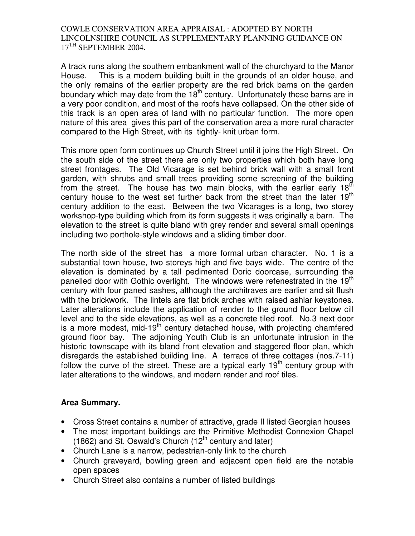A track runs along the southern embankment wall of the churchyard to the Manor House. This is a modern building built in the grounds of an older house, and the only remains of the earlier property are the red brick barns on the garden boundary which may date from the  $18<sup>th</sup>$  century. Unfortunately these barns are in a very poor condition, and most of the roofs have collapsed. On the other side of this track is an open area of land with no particular function. The more open nature of this area gives this part of the conservation area a more rural character compared to the High Street, with its tightly- knit urban form.

This more open form continues up Church Street until it joins the High Street. On the south side of the street there are only two properties which both have long street frontages. The Old Vicarage is set behind brick wall with a small front garden, with shrubs and small trees providing some screening of the building from the street. The house has two main blocks, with the earlier early  $18<sup>th</sup>$ century house to the west set further back from the street than the later  $19<sup>th</sup>$ century addition to the east. Between the two Vicarages is a long, two storey workshop-type building which from its form suggests it was originally a barn. The elevation to the street is quite bland with grey render and several small openings including two porthole-style windows and a sliding timber door.

The north side of the street has a more formal urban character. No. 1 is a substantial town house, two storeys high and five bays wide. The centre of the elevation is dominated by a tall pedimented Doric doorcase, surrounding the panelled door with Gothic overlight. The windows were refenestrated in the 19 $^{\text{th}}$ century with four paned sashes, although the architraves are earlier and sit flush with the brickwork. The lintels are flat brick arches with raised ashlar keystones. Later alterations include the application of render to the ground floor below cill level and to the side elevations, as well as a concrete tiled roof. No.3 next door is a more modest, mid-19<sup>th</sup> century detached house, with projecting chamfered ground floor bay. The adjoining Youth Club is an unfortunate intrusion in the historic townscape with its bland front elevation and staggered floor plan, which disregards the established building line. A terrace of three cottages (nos.7-11) follow the curve of the street. These are a typical early  $19<sup>th</sup>$  century group with later alterations to the windows, and modern render and roof tiles.

#### **Area Summary.**

- Cross Street contains a number of attractive, grade II listed Georgian houses
- The most important buildings are the Primitive Methodist Connexion Chapel (1862) and St. Oswald's Church (12<sup>th</sup> century and later)
- Church Lane is a narrow, pedestrian-only link to the church
- Church graveyard, bowling green and adjacent open field are the notable open spaces
- Church Street also contains a number of listed buildings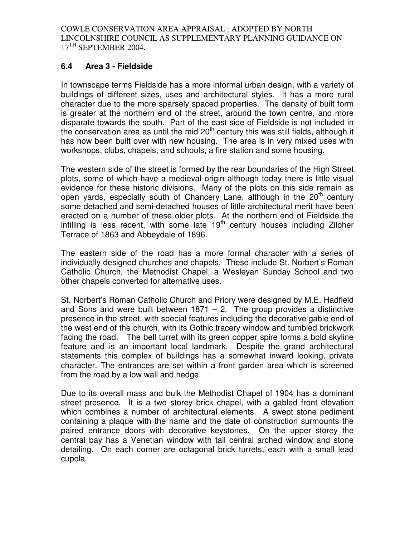## **6.4 Area 3 - Fieldside**

In townscape terms Fieldside has a more informal urban design, with a variety of buildings of different sizes, uses and architectural styles. It has a more rural character due to the more sparsely spaced properties. The density of built form is greater at the northern end of the street, around the town centre, and more disparate towards the south. Part of the east side of Fieldside is not included in the conservation area as until the mid  $20<sup>th</sup>$  century this was still fields, although it has now been built over with new housing. The area is in very mixed uses with workshops, clubs, chapels, and schools, a fire station and some housing.

The western side of the street is formed by the rear boundaries of the High Street plots, some of which have a medieval origin although today there is little visual evidence for these historic divisions. Many of the plots on this side remain as open yards, especially south of Chancery Lane, although in the  $20<sup>th</sup>$  century some detached and semi-detached houses of little architectural merit have been erected on a number of these older plots. At the northern end of Fieldside the infilling is less recent, with some late  $19<sup>th</sup>$  century houses including Zilpher Terrace of 1863 and Abbeydale of 1896.

The eastern side of the road has a more formal character with a series of individually designed churches and chapels. These include St. Norbert's Roman Catholic Church, the Methodist Chapel, a Wesleyan Sunday School and two other chapels converted for alternative uses.

St. Norbert's Roman Catholic Church and Priory were designed by M.E. Hadfield and Sons and were built between  $1871 - 2$ . The group provides a distinctive presence in the street, with special features including the decorative gable end of the west end of the church, with its Gothic tracery window and tumbled brickwork facing the road. The bell turret with its green copper spire forms a bold skyline feature and is an important local landmark. Despite the grand architectural statements this complex of buildings has a somewhat inward looking, private character. The entrances are set within a front garden area which is screened from the road by a low wall and hedge.

Due to its overall mass and bulk the Methodist Chapel of 1904 has a dominant street presence. It is a two storey brick chapel, with a gabled front elevation which combines a number of architectural elements. A swept stone pediment containing a plaque with the name and the date of construction surmounts the paired entrance doors with decorative keystones. On the upper storey the central bay has a Venetian window with tall central arched window and stone detailing. On each corner are octagonal brick turrets, each with a small lead cupola.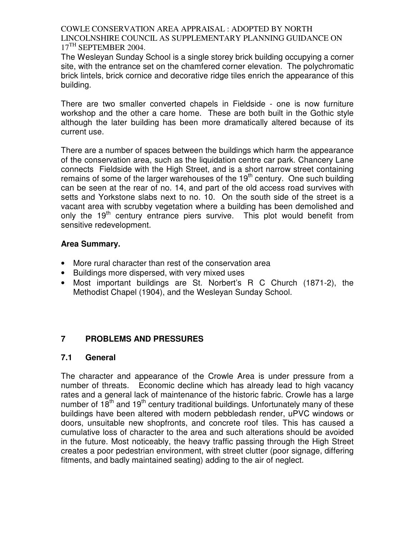The Wesleyan Sunday School is a single storey brick building occupying a corner site, with the entrance set on the chamfered corner elevation. The polychromatic brick lintels, brick cornice and decorative ridge tiles enrich the appearance of this building.

There are two smaller converted chapels in Fieldside - one is now furniture workshop and the other a care home. These are both built in the Gothic style although the later building has been more dramatically altered because of its current use.

There are a number of spaces between the buildings which harm the appearance of the conservation area, such as the liquidation centre car park. Chancery Lane connects Fieldside with the High Street, and is a short narrow street containing remains of some of the larger warehouses of the  $19<sup>th</sup>$  century. One such building can be seen at the rear of no. 14, and part of the old access road survives with setts and Yorkstone slabs next to no. 10. On the south side of the street is a vacant area with scrubby vegetation where a building has been demolished and only the 19<sup>th</sup> century entrance piers survive. This plot would benefit from sensitive redevelopment.

### **Area Summary.**

- More rural character than rest of the conservation area
- Buildings more dispersed, with very mixed uses
- Most important buildings are St. Norbert's R C Church (1871-2), the Methodist Chapel (1904), and the Wesleyan Sunday School.

# **7 PROBLEMS AND PRESSURES**

#### **7.1 General**

The character and appearance of the Crowle Area is under pressure from a number of threats. Economic decline which has already lead to high vacancy rates and a general lack of maintenance of the historic fabric. Crowle has a large number of  $18<sup>th</sup>$  and  $19<sup>th</sup>$  century traditional buildings. Unfortunately many of these buildings have been altered with modern pebbledash render, uPVC windows or doors, unsuitable new shopfronts, and concrete roof tiles. This has caused a cumulative loss of character to the area and such alterations should be avoided in the future. Most noticeably, the heavy traffic passing through the High Street creates a poor pedestrian environment, with street clutter (poor signage, differing fitments, and badly maintained seating) adding to the air of neglect.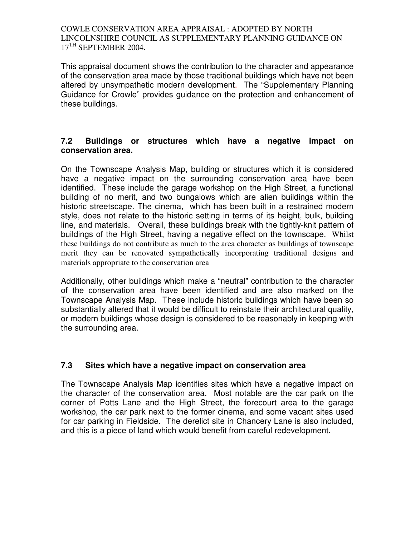This appraisal document shows the contribution to the character and appearance of the conservation area made by those traditional buildings which have not been altered by unsympathetic modern development. The "Supplementary Planning Guidance for Crowle" provides guidance on the protection and enhancement of these buildings.

#### **7.2 Buildings or structures which have a negative impact on conservation area.**

On the Townscape Analysis Map, building or structures which it is considered have a negative impact on the surrounding conservation area have been identified. These include the garage workshop on the High Street, a functional building of no merit, and two bungalows which are alien buildings within the historic streetscape. The cinema, which has been built in a restrained modern style, does not relate to the historic setting in terms of its height, bulk, building line, and materials. Overall, these buildings break with the tightly-knit pattern of buildings of the High Street, having a negative effect on the townscape. Whilst these buildings do not contribute as much to the area character as buildings of townscape merit they can be renovated sympathetically incorporating traditional designs and materials appropriate to the conservation area

Additionally, other buildings which make a "neutral" contribution to the character of the conservation area have been identified and are also marked on the Townscape Analysis Map. These include historic buildings which have been so substantially altered that it would be difficult to reinstate their architectural quality, or modern buildings whose design is considered to be reasonably in keeping with the surrounding area.

# **7.3 Sites which have a negative impact on conservation area**

The Townscape Analysis Map identifies sites which have a negative impact on the character of the conservation area. Most notable are the car park on the corner of Potts Lane and the High Street, the forecourt area to the garage workshop, the car park next to the former cinema, and some vacant sites used for car parking in Fieldside. The derelict site in Chancery Lane is also included, and this is a piece of land which would benefit from careful redevelopment.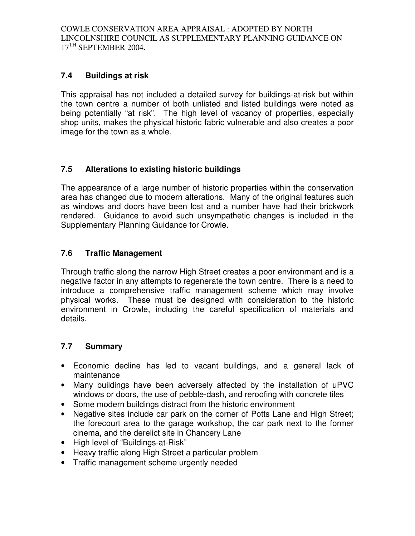# **7.4 Buildings at risk**

This appraisal has not included a detailed survey for buildings-at-risk but within the town centre a number of both unlisted and listed buildings were noted as being potentially "at risk". The high level of vacancy of properties, especially shop units, makes the physical historic fabric vulnerable and also creates a poor image for the town as a whole.

# **7.5 Alterations to existing historic buildings**

The appearance of a large number of historic properties within the conservation area has changed due to modern alterations. Many of the original features such as windows and doors have been lost and a number have had their brickwork rendered. Guidance to avoid such unsympathetic changes is included in the Supplementary Planning Guidance for Crowle.

# **7.6 Traffic Management**

Through traffic along the narrow High Street creates a poor environment and is a negative factor in any attempts to regenerate the town centre. There is a need to introduce a comprehensive traffic management scheme which may involve physical works. These must be designed with consideration to the historic environment in Crowle, including the careful specification of materials and details.

# **7.7 Summary**

- Economic decline has led to vacant buildings, and a general lack of maintenance
- Many buildings have been adversely affected by the installation of uPVC windows or doors, the use of pebble-dash, and reroofing with concrete tiles
- Some modern buildings distract from the historic environment
- Negative sites include car park on the corner of Potts Lane and High Street; the forecourt area to the garage workshop, the car park next to the former cinema, and the derelict site in Chancery Lane
- High level of "Buildings-at-Risk"
- Heavy traffic along High Street a particular problem
- Traffic management scheme urgently needed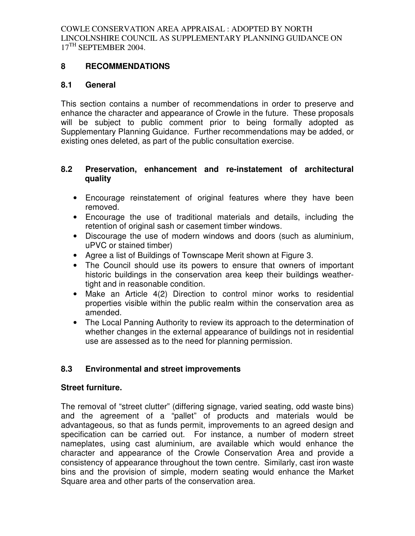### **8 RECOMMENDATIONS**

#### **8.1 General**

This section contains a number of recommendations in order to preserve and enhance the character and appearance of Crowle in the future. These proposals will be subject to public comment prior to being formally adopted as Supplementary Planning Guidance. Further recommendations may be added, or existing ones deleted, as part of the public consultation exercise.

#### **8.2 Preservation, enhancement and re-instatement of architectural quality**

- Encourage reinstatement of original features where they have been removed.
- Encourage the use of traditional materials and details, including the retention of original sash or casement timber windows.
- Discourage the use of modern windows and doors (such as aluminium, uPVC or stained timber)
- Agree a list of Buildings of Townscape Merit shown at Figure 3.
- The Council should use its powers to ensure that owners of important historic buildings in the conservation area keep their buildings weathertight and in reasonable condition.
- Make an Article 4(2) Direction to control minor works to residential properties visible within the public realm within the conservation area as amended.
- The Local Panning Authority to review its approach to the determination of whether changes in the external appearance of buildings not in residential use are assessed as to the need for planning permission.

# **8.3 Environmental and street improvements**

#### **Street furniture.**

The removal of "street clutter" (differing signage, varied seating, odd waste bins) and the agreement of a "pallet" of products and materials would be advantageous, so that as funds permit, improvements to an agreed design and specification can be carried out. For instance, a number of modern street nameplates, using cast aluminium, are available which would enhance the character and appearance of the Crowle Conservation Area and provide a consistency of appearance throughout the town centre. Similarly, cast iron waste bins and the provision of simple, modern seating would enhance the Market Square area and other parts of the conservation area.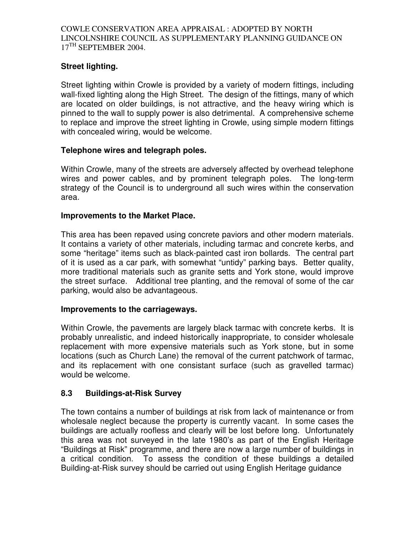# **Street lighting.**

Street lighting within Crowle is provided by a variety of modern fittings, including wall-fixed lighting along the High Street. The design of the fittings, many of which are located on older buildings, is not attractive, and the heavy wiring which is pinned to the wall to supply power is also detrimental. A comprehensive scheme to replace and improve the street lighting in Crowle, using simple modern fittings with concealed wiring, would be welcome.

### **Telephone wires and telegraph poles.**

Within Crowle, many of the streets are adversely affected by overhead telephone wires and power cables, and by prominent telegraph poles. The long-term strategy of the Council is to underground all such wires within the conservation area.

### **Improvements to the Market Place.**

This area has been repaved using concrete paviors and other modern materials. It contains a variety of other materials, including tarmac and concrete kerbs, and some "heritage" items such as black-painted cast iron bollards. The central part of it is used as a car park, with somewhat "untidy" parking bays. Better quality, more traditional materials such as granite setts and York stone, would improve the street surface. Additional tree planting, and the removal of some of the car parking, would also be advantageous.

#### **Improvements to the carriageways.**

Within Crowle, the pavements are largely black tarmac with concrete kerbs. It is probably unrealistic, and indeed historically inappropriate, to consider wholesale replacement with more expensive materials such as York stone, but in some locations (such as Church Lane) the removal of the current patchwork of tarmac, and its replacement with one consistant surface (such as gravelled tarmac) would be welcome.

# **8.3 Buildings-at-Risk Survey**

The town contains a number of buildings at risk from lack of maintenance or from wholesale neglect because the property is currently vacant. In some cases the buildings are actually roofless and clearly will be lost before long. Unfortunately this area was not surveyed in the late 1980's as part of the English Heritage "Buildings at Risk" programme, and there are now a large number of buildings in a critical condition. To assess the condition of these buildings a detailed Building-at-Risk survey should be carried out using English Heritage guidance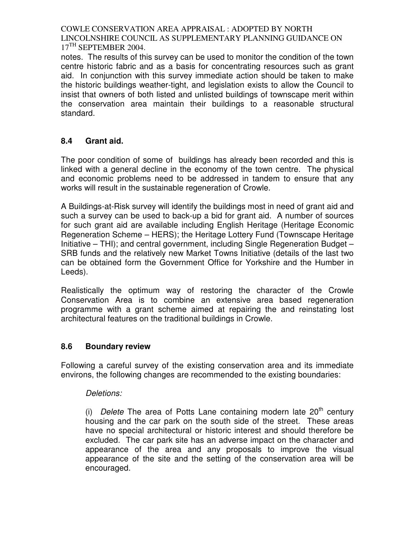notes. The results of this survey can be used to monitor the condition of the town centre historic fabric and as a basis for concentrating resources such as grant aid. In conjunction with this survey immediate action should be taken to make the historic buildings weather-tight, and legislation exists to allow the Council to insist that owners of both listed and unlisted buildings of townscape merit within the conservation area maintain their buildings to a reasonable structural standard.

# **8.4 Grant aid.**

The poor condition of some of buildings has already been recorded and this is linked with a general decline in the economy of the town centre. The physical and economic problems need to be addressed in tandem to ensure that any works will result in the sustainable regeneration of Crowle.

A Buildings-at-Risk survey will identify the buildings most in need of grant aid and such a survey can be used to back-up a bid for grant aid. A number of sources for such grant aid are available including English Heritage (Heritage Economic Regeneration Scheme – HERS); the Heritage Lottery Fund (Townscape Heritage Initiative – THI); and central government, including Single Regeneration Budget – SRB funds and the relatively new Market Towns Initiative (details of the last two can be obtained form the Government Office for Yorkshire and the Humber in Leeds).

Realistically the optimum way of restoring the character of the Crowle Conservation Area is to combine an extensive area based regeneration programme with a grant scheme aimed at repairing the and reinstating lost architectural features on the traditional buildings in Crowle.

# **8.6 Boundary review**

Following a careful survey of the existing conservation area and its immediate environs, the following changes are recommended to the existing boundaries:

#### Deletions:

(i) Delete The area of Potts Lane containing modern late  $20<sup>th</sup>$  century housing and the car park on the south side of the street. These areas have no special architectural or historic interest and should therefore be excluded. The car park site has an adverse impact on the character and appearance of the area and any proposals to improve the visual appearance of the site and the setting of the conservation area will be encouraged.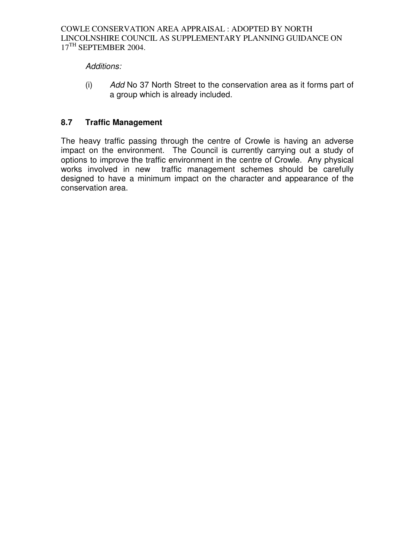# Additions:

(i) Add No 37 North Street to the conservation area as it forms part of a group which is already included.

# **8.7 Traffic Management**

The heavy traffic passing through the centre of Crowle is having an adverse impact on the environment. The Council is currently carrying out a study of options to improve the traffic environment in the centre of Crowle. Any physical works involved in new traffic management schemes should be carefully designed to have a minimum impact on the character and appearance of the conservation area.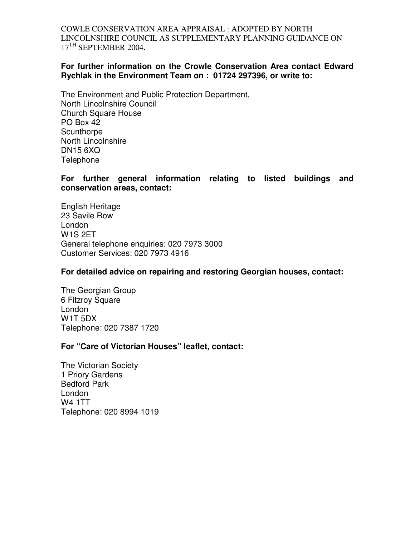#### **For further information on the Crowle Conservation Area contact Edward Rychlak in the Environment Team on : 01724 297396, or write to:**

The Environment and Public Protection Department, North Lincolnshire Council Church Square House PO Box 42 **Scunthorpe** North Lincolnshire DN15 6XQ **Telephone** 

#### **For further general information relating to listed buildings and conservation areas, contact:**

English Heritage 23 Savile Row London W1S 2ET General telephone enquiries: 020 7973 3000 Customer Services: 020 7973 4916

#### **For detailed advice on repairing and restoring Georgian houses, contact:**

The Georgian Group 6 Fitzroy Square London W1T 5DX Telephone: 020 7387 1720

#### **For "Care of Victorian Houses" leaflet, contact:**

The Victorian Society 1 Priory Gardens Bedford Park London W4 1TT Telephone: 020 8994 1019